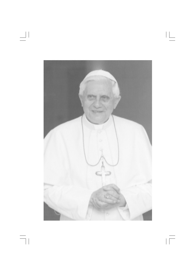

 $\begin{array}{c} \hline \hline \hline \hline \hline \hline \hline \end{array}$ 

 $\begin{array}{c|c} \hline \quad \quad & \quad \quad & \quad \quad \\ \hline \quad \quad & \quad \quad & \quad \quad \\ \hline \quad \quad & \quad \quad & \quad \quad \\ \hline \end{array}$ 

 $\overline{\mathbb{F}}_{\vert \vert}$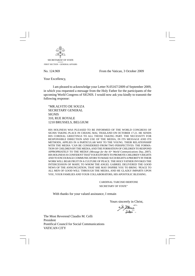

SECRETARIAT OF STATE FIRST SECTION - GENERAL AFFAIRS

No. 124.969 From the Vatican, 3 October 2009

Your Excellency,

I am pleased to acknowledge your Letter N.05167/2009 of September 2009, in which you requested a message from the Holy Father for the participants of the upcoming World Congress of SIGNIS. I would now ask you kindly to transmit the following response:

"MR.ALVITO DE SOUZA SECRETARY GENERAL **SIGNIS** 310, RUE ROYALE 1210 BRUSSELS, BELGIUM

HIS HOLINESS WAS PLEASED TO BE INFORMED OF THE WORLD CONGRESS OF SIGNIS TAKING PLACE IN CHIANG MAI, THAILAND ON OCTOBER 17-21. HE SENDS HIS CORDIAL GREETINGS TO ALL THOSE TAKING PART. THE NECESSITY FOR RESPONSIBLE DIRECTION AND USE OF THE MEDIA, IN ITS MESSAGE AND ITS METHODS, APPLIES IN A PARTICULAR WAY TO THE YOUNG. THEIR RELATIONSHIP WITH THE MEDIA 'CAN BE CONSIDERED FROM TWO PERSPECTIVES: THE FORMA-TION OF CHILDREN BY THE MEDIA; AND THE FORMATION OF CHILDREN TO RESPOND APPROPRIATELY TO THE MEDIA' *(Message for the 41st World Communications Day, 2007)*. HIS HOLINESS IS CONFIDENT THAT YOUR EFFORTS TO PROMOTE CHILDREN'S RIGHTS AND TO ENCOURAGE COMMUNICATORS TO MAKE SUCH RIGHTS A PRIORITY IN THEIR WORK WILL BEAR FRUIT IN A CULTURE OF PEACE. THE HOLY FATHER INVOKES THE INTERCESSION OF MARY, TO WHOM THE ANGEL GABRIEL DELIVERED THE GOOD NEWS OF THE ANNUNCIATION, THAT SHE MAY INSPIRE YOU TO BRING 'PEACE TO ALL MEN OF GOOD WILL' THROUGH THE MEDIA, AND HE GLADLY IMPARTS UPON YOU, YOUR FAMILIES AND YOUR COLLABORATORS, HIS APOSTOLIC BLESSING.

> CARDINAL TARCISIO BERTONE SECRETARY OF STATE"

With thanks for your valued assistance, I remain

Yours sincerely in Christ,

Simu<br>Subu

The Most Reverend Claudio M. Celli President Pontifical Council for Social Communications VATICAN CITY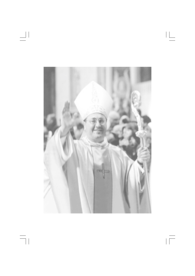

 $\begin{array}{c|c} \hline \quad \quad & \quad \quad & \quad \quad \\ \hline \quad \quad & \quad \quad & \quad \quad \\ \hline \quad \quad & \quad \quad & \quad \quad \\ \hline \end{array}$ 

 $\frac{1}{\sqrt{2}}$ 

 $\begin{array}{c} \begin{array}{c} \begin{array}{c} \end{array} \\ \begin{array}{c} \end{array} \end{array} \end{array}$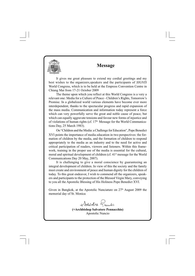

#### **Message**

It gives me great pleasure to extend my cordial greetings and my best wishes to the organizers,speakers and the participants of *SIGNIS* World Congress, which is to be held at the Empress Convention Centre in Chiang Mai from 17-21 October 2009

The theme upon which you reflect at this World Congress is a very a relevant one: Media for a Culture of Peace - Children's Rights, Tomorrow's Promise. In a globalized world various elements have become ever more interdependent, thanks to the spectacular progress and rapid expansion of the mass media. Communication and information today represent a force which can very powerfully serve the great and noble cause of peace, but which can equally aggravate tensions and favour new forms of injustice and of violations of human rights (cf. 17<sup>th</sup> Message for the World Communications Day, 25 March 1983).

On "Children and the Media: a Challenge for Education", Pope Benedict XVI points the importance of media education in two perspectives: the formation of children by the media, and the formation of children to respond appropriately to the media as an industry and to the need for active and critical participation of readers, viewers and listeners. Within this framework, training in the proper use of the media is essential for the cultural, moral and spiritual development of children (cf. 41<sup>st</sup> message for the World Communications Day 20 May, 2007).

It is challenging to give a moral conscience by guaranteeing an integral development of children. In view of this the society and the family must create and environment of peace and human dignity for the children of today. To this great endeavor, I wish to commend all the organizers, speakers and participants to the protection of the Blessed Virgin Mary, conveying to you all the Apostolic Blessing of His Holiness Pope Benedict XVI.

Given in Bangkok, at the Apostolic Nunciature on  $27<sup>th</sup>$  August 2009 the memorial day of St. Monica

Bustre Punts

**(+Archbishop Salvatore Pennacchio)** Apostolic Nuncio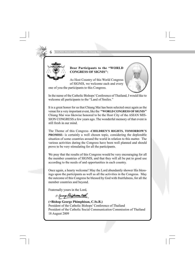

#### **Dear Participants to the ''WORLD CONGRESS OF SIGNIS'':**

As Host Country of this World Congress of SIGNIS, we welcome each and every one of you-the participants to this Congress.



In the name of the Catholic Bishops' Conference of Thailand, I would like to welcome all participants to the "Land of Smiles.''

It is a great honor for us that Chiang Mai has been selected once again as the venue for a very important event, like the **''WORLD CONGRESS OF SIGNIS''** Chiang Mai was likewise honored to be the Host City of the ASIAN MIS-SION CONGRESS a few years ago. The wonderful memory of that event is still fresh in our mind.

The Theme of this Congress **-CHILDREN'S RIGHTS, TOMORROW'S PROMISE-** is certainly a well chosen topic, considering the deplorable situation of some countries around the world in relation to this matter. The various activities during the Congress have been well planned and should prove to be very stimulating for all the participants.

We pray that the results of this Congress would be very encouraging for all the member countries of SIGNIS, and that they will all be put to good use according to the needs of and opportunities in each country.

Once again, a hearty welcome! May the Lord abundantly shower His blessings upon the participants as well as all the activities in the Congress. May the outcome of this Congress be blessed by God with fruitfulness, for all the member countries and beyond.

Fraternally yours in the Lord,

+ yearge Phijkinan, CHR.

**(+Bishop George Phimphisan, C.Ss.R.)** President of the Catholic Bishops' Conference of Thailand President of the Catholic Social Communication Commission of Thailand 18 August 2009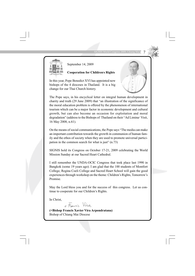SIGNIS World Congress 2009, Chiang Mai <sup>7</sup>



September 14, 2009

#### **Cooperation for Childrenûs Rights**

In this year, Pope Benedict XVI has appointed new bishops of the 4 dioceses in Thailand. It is a big change for our Thai Church history.

The Pope says, in his encyclical letter on integral human development in charity and truth (29 June 2009) that "an illustration of the significance of the moral education problem is offered by the phenomenon of international tourism which can be a major factor in economic development and cultural growth, but can also become an occasion for exploitation and moral degradation" (address to the Bishops of Thailand on their "Ad Limina" Visit, 16 May 2008, n.61).

On the means of social communications, the Pope says "The media can make an important contribution towards the growth in communion of human family and the ethos of society when they are used to promote universal participation in the common search for what is just<sup> $(n.73)$ </sup>

SIGNIS hold its Congress on October 17-21, 2009 celebrating the World Mission Sunday at our Sacred Heart Cathedral.

I still remember the UNDA-OCIC Congress that took place last 1990 in Bangkok (some 19 years ago). I am glad that the 100 students of Montfort College, Regina Coeli College and Sacred Heart School will gain the good experiences through workshop on the theme: Children's Rights, Tomorrow's Promise.

May the Lord bless you and for the success of this congress. Let us continue to cooperate for our Children's Rights.

In Christ,

+ Francis Vira

**(+Bishop Francis Xavier Vira Arpondratana)** Bishop of Chiang Mai Diocese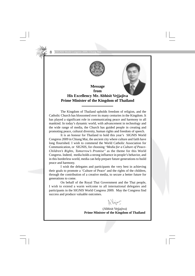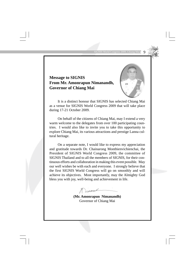SIGNIS World Congress 2009, Chiang Mai <sup>9</sup>

### **Message to SIGNIS From Mr. Amonrapun Nimanandh, Governor of Chiang Mai**

It is a distinct honour that SIGNIS has selected Chiang Mai as a venue for SIGNIS World Congress 2009 that will take place during 17-21 October 2009.

On behalf of the citizens of Chiang Mai, may I extend a very warm welcome to the delegates from over 100 participating countries. I would also like to invite you to take this opportunity to explore Chiang Mai, its various attractions and prestige Lanna cultural heritage.

On a separate note, I would like to express my appreciation and gratitude towards Dr. Chainarong Monthienvichienchai, the President of SIGNIS World Congress 2009, the committee of SIGNIS Thailand and to all the members of SIGNIS, for their continuous efforts and collaboration in making this event possible. May our well wishes be with each and everyone. I strongly believe that the first SIGNIS World Congress will go on smoothly and will achieve its objectives. Most importantly, may the Almighty God bless you with joy, well-being and achievement in life.

himanad

**(Mr. Amonrapun Nimanandh)** Governor of Chiang Mai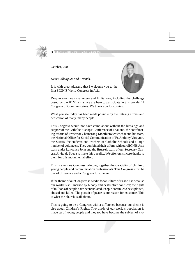October, 2009

*Dear Colleagues and Friends,*

10 SIGNIS World Congress 2009, Chiang Mai



It is with great pleasure that I welcome you to the first SIGNIS World Congress in Asia.

Despite enormous challenges and limitations, including the challenge posed by the H1N1 virus, we are here to participate in this wonderful Congress of Communicators. We thank you for coming.

What you see today has been made possible by the untiring efforts and dedication of many, many people.

This Congress would not have come about without the blessings and support of the Catholic Bishops' Conference of Thailand, the coordinating efforts of Professor Chainarong Monthienvichienchai and his team, the National Office for Social Communication of Fr. Anthony Vorayuth, the Sisters, the students and teachers of Catholic Schools and a large number of volunteers. They combined their efforts with our SIGNIS Asia team under Lawrence John and the Brussels team of our Secretary General Alvito de Souza to make this a reality. We offer our sincere thanks to them for this monumental effort.

This is a unique Congress bringing together the creativity of children, young people and communication professionals. This Congress must be one of difference and a Congress for change.

If the theme of our Congress is Media for a Culture of Peace it is because our world is still marked by bloody and destructive conflicts; the rights of millions of people have been violated. People continue to be exploited, abused and killed. The pursuit of peace is our reason for existence. This is what the church is all about.

This is going to be a Congress with a difference because our theme is also about Children's Rights. Two thirds of our world's population is made up of young people and they too have become the subject of vio-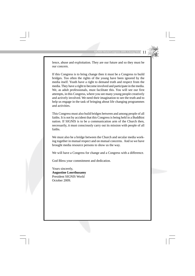lence, abuse and exploitation. They are our future and so they must be our concern.

If this Congress is to bring change then it must be a Congress to build bridges. Too often the rights of the young have been ignored by the media itself. Youth have a right to demand truth and respect from the media. They have a right to become involved and participate in the media. We, as adult professionals, must facilitate this. You will see our first attempts, in this Congress, where you see many young people creatively and actively involved. We need their imagination to see the truth and to help us engage in the task of bringing about life changing programmes and activities.

This Congress must also build bridges between and among people of all faiths. It is not by accident that this Congress is being held in a Buddhist nation. If SIGNIS is to be a communication arm of the Church then, necessarily, it must consciously carry out its mission with people of all faiths.

We must also be a bridge between the Church and secular media working together in mutual respect and on mutual concerns. And so we have brought media resource persons to show us the way.

We will have a Congress for change and a Congress with a difference.

God Bless your commitment and dedication.

Yours sincerely, **Augustine Loorthusamy** President SIGNIS World October 2009.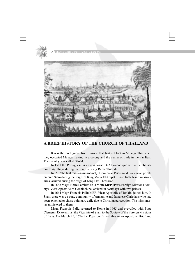



#### **A BRIEF HISTORY OF THE CHURCH OF THAILAND**

It was the Portuguese from Europe that first set foot in Muang- Thai when they occupied Malaca making it a colony and the center of trade in the Far East. The country was called SIAM.

In 1511 the Portuguese viceroy Alfonso Dí Albouquerque sent an ambassador to Ayuthaya during the reign of King Rama Thibodi II.

In 1567 the first missionaries namely: Dominican Priests and Franciscan priests entered Siam during the reign of King Maha Jakkrapat. Since 1607 Jesuit missionaries arrived during the reign of King Eka Thotsarot.

In 1662 Msgr. Pierre Lambert de la Motte MEP, (Paris Foreign Missions Society), Vicar Apostolic of Cochinchina, arrived in Ayuthaya with two priests.

In 1664 Msgr. Francois Pallu MEP, Vicar Apostolic of Tonkin, joined him. In Siam, there was a strong community of Annamite and Japanese Christians who had been expelled or chose voluntary exile due to Christian persecution. The missionaries ministered to them.

Msgr. Francois Pallu returned to Rome in 1665 and prevailed with Pope Clemennt IX to entrust the Vicariate of Siam to the Society of the Foreign Missions of Paris. On March 25, 1674 the Pope confirmed this in an Apostolic Brief and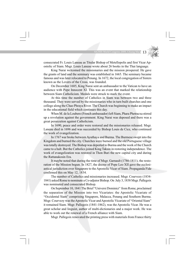consecrated Fr. Louis Laneau as Titular Bishop of Metellopolis and first Vicar Apostolic of Siam. Msgr. Louis Laneau wrote about 26 books in the Thai language.

King Narai welcomed the missionaries and the mission prospered. He gave the grants of land and the seminary was established in 1665. The seminary became famous and was later relocated to Penang. In 1672, the local congregation of Sisters known as the Lovers of the Cross, was founded.

On December 1685, King Narai sent an ambassador to the Vatican to have an audience with Pope Innocent XI. This was an event that marked the relationship between Siam Catholicism. Medals were struck to mark the event.

At this time the number of Catholics in Siam was between two and three thousand. They were served by the missionaries who in turn built churches and one college along the Chao Phraya River. The Church was beginning to make an impact in the educational field which continues this day.

When M. de la Loubere (French ambassador) left Siam, Phara Phetracxa stirred up a revolution against the government. King Narai was deposed and there was a great persecution against Catholicism.

In 1690, peace and order were restored and the missionaries released. Msgr. Laneau died in 1696 and was succeeded by Bishop Louis de Cice, who continued the work of evangelization.

In 1767 war broke between Ayuthaya and Burma. The Burmese swept into the Kingdom and burned the city. Churches were burned and the old Portuguese village was totally destroyed. The Bishop was deported to Burma and the work of the Church came to a halt. But the Catholics joined King Taksin in restoring independence. The work of evangelization was restored in Thon Buri the new capital city and during the Rattanakosin Era.

It maybe noted that during the time of Msgr. Garnault (1786-1811), the restoration of the Mission begun. In 1827, the decree of Pope Leo XII gave the ecclesiastical jurisdiction over Singapore to the Apostolic Vicar of Siam. Propaganda Fide confirmed this on May 12, 1834.

The number of Catholics and missionaries increased. Msgr. Courvezy (1834- 1841) asked Rome to nominate a Co-adjutor Bishop. On July 3, 1838 Msgr. Pallegoix was nominated and consecrated Bishop.

On September 10, 1841 The Brief "Universi Dominici" from Rome, proclaimed the separation of the Mission into two Vicariates: the Apostolic Vicariate of "Occidental Siam" comprising Singapore, Malacca, Penang and Southern Burma. Msgr. Courvezy was the Apostolic Vicar and Apostolic Vicariate of "Oriental Siam" it remained Siam. Msgr. Pallegoix (1841-1862), was the Apostolic Vicar. He was a great scholar and linguist, author of multi-dictionaries and a major work. He was able to work out the renewal of a French alliance with Siam.

Msgr. Pallegoix renovated the printing press with materials from France thirty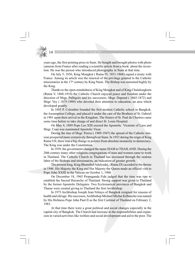

years ago, the first printing press in Siam. He bought and brought photos with photo cameras from France after reading a scientific article from a book about the invention. He was the person who introduced photography in Siam at that time.

On July 5, 1856, King Mongkut ( Rama IV, 1851-1868) signed a treaty with France. Among its article was the renewal of the privilege granted to the Catholic missionaries in the  $17<sup>th</sup>$  century by King Narai. The Bishop was esteemed highly by the King.

Thanks to the open-mindedness of King Mongkut and of King Chulalongkorn (Rama V, 1868-1910) the Catholic Church enjoyed peace and freedom under the direction of Msgr. Pallegoix and his successors, Msgr. Dupond ( 1865-1872) and Msgr. Vey ( 1875-1909) who devoted their attention to education, an area which developed greatly.

In 1885 P. Colombet founded the first modern Catholic school in Bangkok. the Assumption College, and placed it under the care of the Brothers of St. Gabriel in 1901 upon their arrival in the Kingdom. The Sisters of St. Paul de Chartres came some time before to take charge of and direct St. Louis Hospital.

On May 4, 1889 Pope Leo XIII erected the Apostolic Vicariate of Laos and Msgr. Cuaz was nominated Apostolic Vicar.

During the tine of Msgr. Perros ( 1909-1947) the spread of the Catholic mission prospered more extensively throughout Siam. In 1932 during the reign of King Rama VII, there was a big change in politics from absolute monarchy to democracy. The King was under the Constitution.

In 1939, the government changed the name SIAM to THAILAND. During the 20th century many other religious congregations of men and women came to work in Thailand. The Catholic Church in Thailand has increased through the zealous labor of the Bishops and missionaries, an indication of greater growth.

The present king, King Bhumibol Adulyadej, (Rama IX) acceded to the throne in 1946. His Majesty the King and Her Majesty the Queen made an official visit to Pope John XXIII in the Vatican on October 1, 1960.

On December 18, 1965 Propaganda Fide judged that the time was ripe to establish the Sacred Hierarchy of Thailand. Strong support was given to Thailand by the former Apostolic Delegates. Two Ecclesiastical provinces of Bangkok and Tharae were created giving to Thailand the first Archbishop.

In 1973 Archbishop Joseph Jean Nittayo of Bangkok resigned for reasons of health and old age. His successor, Archbishop Michael Michai Kitbunchu was named by His Holiness Pope John Paul II as the first Cardinal of Thailand on February 2, 1983.

At that time there were a great political and social changes especially in the capital city of Bangkok. The Church had increase in the responsibilities and expansion in varied activities like welfare and social development and aid to the poor. The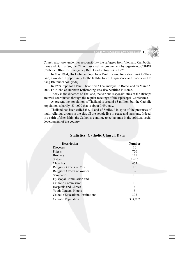SIGNIS World Congress 2009, Chiang Mai  $\epsilon$  15

Church also took under her responsibility the refugees from Vietnam, Cambodia, Laos and Burma. So, the Church assisted the government by organizing COERR (Catholic Office for Emergency Relief and Refugees) in 1975.

In May 1984, His Holiness Pope John Paul II, came for a short visit to Thailand, a wonderful opportunity for the faithful to feel his presence and made a visit to King Bhumibol Adulyadej.

In 1989 Pope John Paul II beatified 7 Thai martyrs in Rome, and on March 5, 2000 Fr. Nicholas Bunkerd Kitbamrung was also beatified in Rome.

Today in the dioceses of Thailand, the various responsibilities of the Bishops are well coordinated through the regular meetings of the Episcopal Conference.

At present the population of Thailand is around 65 million, but the Catholic population is hardly 334,000 that is about 0.4% only.

Thailand has been called the, "Land of Smiles." In spite of the pressures of multi-religious groups in the city, all the people live in peace and harmony. Indeed, in a spirit of friendship, the Catholics continue to collaborate in the spiritual-social development of the country.

| <b>Statistics: Catholic Church Data</b> |               |
|-----------------------------------------|---------------|
| <b>Description</b>                      | <b>Number</b> |
| <b>Dioceses</b>                         | 10            |
| Priests                                 | 750           |
| <b>Brothers</b>                         | 121           |
| <b>Sisters</b>                          | 1,616         |
| Churches                                | 463           |
| Religious Orders of Men                 | 16            |
| Religious Orders of Women               | 39            |
| <b>Seminaries</b>                       | 10            |
| Episcopal Commission and                |               |
| Catholic Commission                     | 10            |
| Hospitals and Clinics                   | 6             |
| Youth Centers, Hotels                   | 5             |
| Catholic Educational Institutions       | 302           |
| Catholic Population                     | 334,937       |
|                                         |               |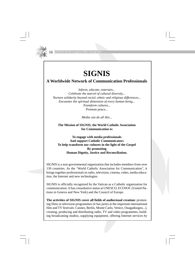

## **SIGNIS**

#### **A Worldwide Network of Communication Professionals**

*Inform, educate, entertain... Celebrate the marvel of cultural diversity... Nurture solidarity beyond racial, ethnic and religious differences... Encounter the spiritual dimension of every human being... Transform cultures... Promote peace...*

*Media can do all this...*

**The Mission of SIGNIS, the World Catholic Association for Communication is:**

**To engage with media professionals And support Catholic Communicators To help transform our cultures in the light of the Gospel By promoting Human Dignity, Justice and Reconciliation.**

SIGNIS is a non-governmental organization that includes members from over 130 countries. As the "World Catholic Association for Communication", it brings together professionals in radio, television, cinema, video, media education, the Internet and new technologies.

SIGNIS is officially recognized by the Vatican as a Catholic organization for communication. It has consultative status at UNESCO, ECOSOC (United Nations in Geneva and New York) and the Council of Europe.

**The activities of SIGNIS cover all fields of audiovisual creation:** promoting films or television programmes (it has juries at the important international film and TV festivals: Cannes, Berlin, Monte Carlo, Venice, Ouagadougou...), creating, producing and distributing radio, TV and video programmes, building broadcasting studios, supplying equipment, offering Internet services by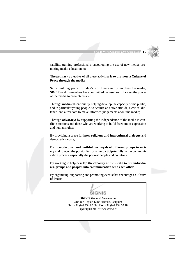satellite, training professionals, encouraging the use of new media, promoting media education etc.

**The primary objective** of all these activities is **to promote a Culture of Peace through the media.**

Since building peace in today's world necessarily involves the media, SIGNIS and its members have committed themselves to harness the power of the media to promote peace:

Through **media education:** by helping develop the capacity of the public, and in particular young people, to acquire an active attitude, a critical distance, and a freedom to make informed judgements about the media;

Through **advocacy:** by supporting the independence of the media in conflict situations and those who are working to build freedom of expression and human rights;

By providing a space for **inter-religious and intercultural dialogue** and democratic debate;

By promoting **just and truthful portrayals of different groups in society** and to open the possibility for all to participate fully in the communication process, especially the poorest people and countries;

By working to help **develop the capacity of the media to put individuals, groups and peoples into communication with each other.**

By organizing, supporting and promoting events that encourage a **Culture of Peace.**



**SIGNIS General Secretariat** 310, rue Royale 1210 Brussels, Belgium Tel: +32 (0)2 734 97 08 Fax: +32 (0)2 734 70 18 sg@signis.net www.signis.net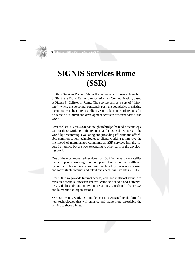

# **SIGNIS Services Rome (SSR)**

SIGNIS Services Rome (SSR) is the technical and pastoral branch of SIGNIS, the World Catholic Association for Communication, based at Piazza S. Calisto, in Rome. The service acts as a sort of "thinktank", where the personnel constantly push the boundaries of existing technologies to be more cost effective and adapt appropriate tools for a clientele of Church and development actors in different parts of the world.

Over the last 50 years SSR has sought to bridge the media technology gap for those working in the remotest and most isolated parts of the world by researching, evaluating and providing efficient and affordable communication technologies to clients working to improve the livelihood of marginalized communities. SSR services initially focused on Africa but are now expanding to other parts of the developing world.

One of the most requested services from SSR in the past was satellite phone to people working in remote parts of Africa or areas afflicted by conflict. This service is now being replaced by the ever increasing and more stable internet and telephone access via satellite (VSAT).

Since 2003 we provide Internet access, VoIP and multicast services to mission hospitals, diocesan centres, catholic Schools and Universities, Catholic and Community Radio Stations, Church and other NGOs and humanitarian organisations.

SSR is currently working to implement its own satellite platform for new technologies that will enhance and make more affordable the service to these clients.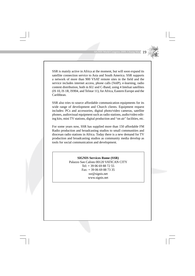SSR is mainly active in Africa at the moment, but will soon expand its satellite connection service to Asia and South America. SSR supports a network of more than 900 VSAT remote sites in the field and the service includes internet access, phone calls (VoIP), e-learning, radio content distribution, both in KU and C-Band, using 4 Intelsat satellites (IS 10, IS 1R, IS904, and Telstar 11), for Africa, Eastern Europe and the Caribbean.

SSR also tries to source affordable communication equipments for its wide range of development and Church clients. Equipment request includes: PCs and accessories, digital photo/video cameras, satellite phones, audiovisual equipment such as radio stations, audio/video editing kits, mini TV stations, digital production and "on air" facilities, etc.

For some years now, SSR has supplied more than 150 affordable FM Radio production and broadcasting studios to small communities and diocesan radio stations in Africa. Today there is a new demand for TV production and broadcasting studios as community media develop as tools for social communication and development.

#### **SIGNIS Services Rome (SSR)**

Palazzo San Calisto 00120 VATICAN CITY Tel: + 39 06 69 88 72 55 Fax: + 39 06 69 88 73 35 ssr@signis.net www.signis.net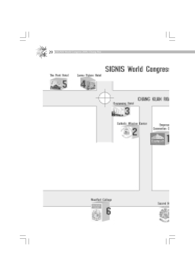

 $\begin{array}{c|c} \hline \quad \quad & \quad \quad & \quad \quad \\ \hline \quad \quad & \quad \quad & \quad \quad \\ \hline \end{array}$ 

20 SIGNIS World Congress 2009, Chiang



 $\sqrt{1}$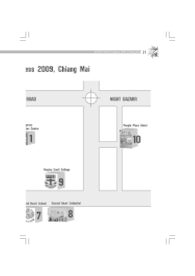

 $\sqrt{1}$ 

# ass 2009, Chiang Mai

 $\begin{array}{c|c|c|c} & \multicolumn{3}{c|}{\phantom{-}} \\ \hline \multicolumn{3}{c|}{\phantom{-}} & \multicolumn{3}{c|}{\phantom{-}} \\ \hline \multicolumn{3}{c|}{\phantom{-}} & \multicolumn{3}{c|}{\phantom{-}} \\ \hline \multicolumn{3}{c|}{\phantom{-}} & \multicolumn{3}{c|}{\phantom{-}} \\ \hline \multicolumn{3}{c|}{\phantom{-}} & \multicolumn{3}{c|}{\phantom{-}} \\ \hline \multicolumn{3}{c|}{\phantom{-}} & \multicolumn{3}{c|}{\phantom{-}} \\ \hline \multicolumn{3}{c|}{\phant$ 

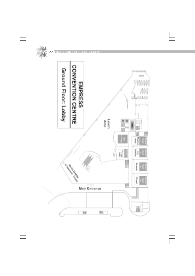

 $\frac{\hphantom{a}}{\hphantom{a}}\hphantom{a}$ 

 $\overline{\overline{\mathbb{u}}}$ 



 $\begin{array}{c} \boxed{\phantom{000}} \\ \boxed{\phantom{000}} \end{array}$ 

 $\sqrt{1-\frac{1}{2}}$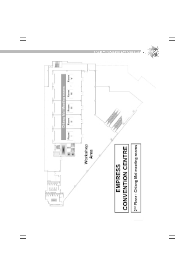

 $\sqrt{1}$ 

 $\frac{1}{2}$ 

 $\overline{\mathbb{R}}$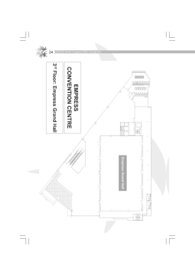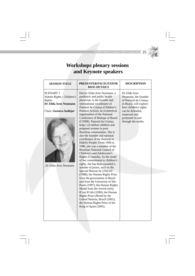2009, Chiang Mai  $\epsilon$  25

 $\begin{array}{|c|c|} \hline \quad \quad & \quad \quad & \quad \quad \\ \hline \quad \quad & \quad \quad & \quad \quad \\ \hline \end{array}$ 

₹

## **Workshops plenary sessions and Keynote speakers**

 $\mathbf{r}$ 

 $\overline{\overline{\phantom{a}}\phantom{a}}$ 

| <b>SESSION TITLE</b>                                                                                                         | PRESENTER/FACILITATOR<br><b>BIOG DETAILS</b>                                                                                                                                                                                                                                                                                                                                                                                                                                                                                                                                                                                                                                                                                                                                                                                                                                                                                                                                                                                                                                                                           | <b>DESCRIPTION</b>                                                                                                                                                                                |
|------------------------------------------------------------------------------------------------------------------------------|------------------------------------------------------------------------------------------------------------------------------------------------------------------------------------------------------------------------------------------------------------------------------------------------------------------------------------------------------------------------------------------------------------------------------------------------------------------------------------------------------------------------------------------------------------------------------------------------------------------------------------------------------------------------------------------------------------------------------------------------------------------------------------------------------------------------------------------------------------------------------------------------------------------------------------------------------------------------------------------------------------------------------------------------------------------------------------------------------------------------|---------------------------------------------------------------------------------------------------------------------------------------------------------------------------------------------------|
| PLENARY 1<br>Human Rights - Children's<br>Rights<br>Dr Zilda Arns Neumann<br>Chair: Gustavo Andújar<br>Dr Zilda Arns Neumann | Doctor Zilda Arns Neumann, a<br>paediatric and public health<br>physician, is the founder and<br>international coordinator of<br>Pastoral da Criança (Children's<br>Pastoral Action), an ecumenical<br>organization of the National<br>Conference of Bishops of Brazil<br>(CNBB). Pastoral da Criança<br>helps 1,8 million children and<br>pregnant women in poor<br>Brazilian communities. She is<br>also the founder and national<br>coordinator of the Pastoral of<br>Elderly People. From 1994 to<br>1996, she was a member of the<br><b>Brazilian National Council of</b><br>Children's and Adolescent's<br>Rights (Conanda). As the result<br>of her commitment to children's<br>rights, she has been awarded a<br>number of prizes, such as the<br>Special Honour by UNICEF<br>(1988); the Human Rights Prize<br>from the government of Brazil<br>and from the University of São<br>Paulo (1997); the Human Rights<br>Medal from the Jewish entity<br>B'nai B'rith (1999); the Human<br>Rights Prize offered by the<br>United Nations, Brazil (2001);<br>the Human Rights Prize of the<br>King of Spain (2005). | Dr Zilda Arns<br>Neumann, the founder<br>of Pastoral da Criança<br>in Brazil, will explore<br>how children's rights<br>can be defended,<br>respected and<br>promoted in and<br>through the media. |
|                                                                                                                              |                                                                                                                                                                                                                                                                                                                                                                                                                                                                                                                                                                                                                                                                                                                                                                                                                                                                                                                                                                                                                                                                                                                        |                                                                                                                                                                                                   |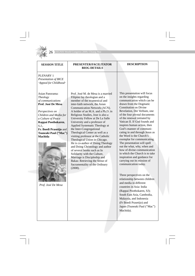

 $\begin{array}{c} \hline \hline \end{array}$ 

 $\frac{1}{\sqrt{2}}$ 

| <b>SESSION TITLE</b>                                                                                                                                                                                                                                                                                    | PRESENTER/FACILITATOR<br><b>BIOG DETAILS</b>                                                                                                                                                                                                                                                                                                                                                                                                                                                                                                                                                          | <b>DESCRIPTION</b>                                                                                                                                                                                                                                                                                                                                                                                                                                                                                                                       |
|---------------------------------------------------------------------------------------------------------------------------------------------------------------------------------------------------------------------------------------------------------------------------------------------------------|-------------------------------------------------------------------------------------------------------------------------------------------------------------------------------------------------------------------------------------------------------------------------------------------------------------------------------------------------------------------------------------------------------------------------------------------------------------------------------------------------------------------------------------------------------------------------------------------------------|------------------------------------------------------------------------------------------------------------------------------------------------------------------------------------------------------------------------------------------------------------------------------------------------------------------------------------------------------------------------------------------------------------------------------------------------------------------------------------------------------------------------------------------|
| PLENARY 1<br>Presentation of BICE<br>"Appeal for Childhood"<br>Asian Panorama:<br>Theology<br>of communications<br>Prof. José De Mesa<br>Perspectives on<br>Children and Media for<br>a Culture of Peace<br>Rappai Poothokaren,<br>S.J.,<br>Fr. Boedi Prasetijo and<br>Tsuneaki Paul ("Mac")<br>Machida | Prof. José M. de Mesa is a married<br>Filipino lay theologian and a<br>member of the ecumenical and<br>inter-faith network, the Asian<br>Communication Network (ACN).<br>A holder of an M.A. and a Ph.D. in<br>Religious Studies, Jose is also a<br>University Fellow at De La Salle<br>University and a professor of<br>Applied Systematic Theology at<br>the Inter-Congregational<br>Theological Center as well as a<br>visiting professor at the Catholic<br>Theological Union in Chicago.<br>He is co-author of Doing Theology<br>and Doing Christology and author<br>of several books such as In | This presentation will focus<br>on the insights regarding<br>communication which can be<br>drawn from the Dogmatic<br><b>Constitution on Divine</b><br>Revelation, Dei Verbum, one<br>of the four pivotal documents<br>of the renewal initiated by<br>Vatican II. If God founds and<br>inspires human action, then<br>God's manner of communi-<br>cating in and through Jesus as<br>the Word is the Church's<br>exemplar for communicating.<br>The presentation will spell<br>out the what, why, when and<br>how of divine communication |
| Prof. José De Mesa                                                                                                                                                                                                                                                                                      | Solidarity with the Culture,<br>Marriage is Discipleship and<br>Bakas: Retrieving the Sense of<br>Sacramentality of the Ordinary<br>(2008).                                                                                                                                                                                                                                                                                                                                                                                                                                                           | in which the Church is to take<br>inspiration and guidance for<br>carrying out its mission of<br>communication today.<br>Three perspectives on the<br>relationship between children<br>and media in different<br>countries in Asia: India<br>(Rappai Poothokaren, SJ);<br>South East Asia, Cambodia,<br>Malaysia, and Indonesia<br>(Fr Boedi Prasetijo) and<br>Japan (Tsuneaki Paul ("Mac")<br>Machida).                                                                                                                                 |

 $\frac{1}{1}$ 

 $\frac{1}{\sqrt{1-\frac{1}{2}}}$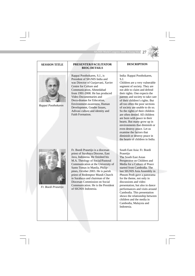$\begin{array}{c|c} \hline \quad \quad & \quad \quad & \quad \quad \\ \hline \quad \quad & \quad \quad & \quad \quad \\ \hline \quad \quad & \quad \quad & \quad \quad \\ \hline \end{array}$ 

 $\frac{1}{\sqrt{2}}$ 

 $\begin{array}{c} \hline \hline \hline \hline \hline \hline \hline \end{array}$ 

| <b>SESSION TITLE</b> | PRESENTER/FACILITATOR<br><b>BIOG DETAILS</b>                                                                                                                                                                                                                                                                                                                                                                                     | <b>DESCRIPTION</b>                                                                                                                                                                                                                                                                                                                                                                                                                                                                                                                                                                                                    |
|----------------------|----------------------------------------------------------------------------------------------------------------------------------------------------------------------------------------------------------------------------------------------------------------------------------------------------------------------------------------------------------------------------------------------------------------------------------|-----------------------------------------------------------------------------------------------------------------------------------------------------------------------------------------------------------------------------------------------------------------------------------------------------------------------------------------------------------------------------------------------------------------------------------------------------------------------------------------------------------------------------------------------------------------------------------------------------------------------|
| Rappai Poothokaren   | Rappai Poothokaren, S.J., is<br>President of SIGNIS India and<br>was Director of Gurjarvani, Xavier<br>Centre for Culture and<br>Communication, Ahmedabad<br>from 1991-2008. He has produced<br>Video Documentaries and<br>Docu-dramas for Education.<br>Environment awareness, Human<br>Development, Gender Issues,<br>Adivasi culture and identity and<br>Faith Formation.                                                     | India: Rappai Poothokaren,<br>S.J.<br>Children are a very vulnerable<br>segment of society. They are<br>not able to claim and defend<br>their rights. One expects the<br>parents and society to take care<br>of their children's rights. But<br>all too often the poor sections<br>of society are unable to do so.<br>So the rights of their children<br>are often denied. All children<br>are born with peace in their<br>hearts. But many grow up in<br>environments that diminish or<br>even destroy peace. Let us<br>examine the factors that<br>diminish or destroy peace in<br>the hearts of children in India. |
| Fr. Boedi Prasetijo  | Fr. Boedi Prasetijo is a diocesan<br>priest of Surabaya Diocese, East<br>Java, Indonesia. He finished his<br>M.A. Theology of Social/Pastoral<br>Communication at the University of<br>Santo Tomas in Manila, Philip-<br>pines, October 2003. He is parish<br>priest of Redemptor Mundi Church<br>in Surabaya and chairman of the<br>Diocesan Commission on Social<br>Communication. He is the President<br>of SIGNIS Indonesia. | South East Asia: Fr. Boedi<br>Prasetijo<br>The South East Asian<br>Perspective on Children and<br>Media for a Culture of Peace<br>started from Cambodia. The<br>last SIGNIS Asia Assembly in<br>Phnom Penh gave a panorama<br>for the theme, not only in<br>discussions and video<br>presentation, but also in dance<br>performances and visits around<br>Cambodia. This presentation<br>shows the relationship between<br>children and the media in<br>Cambodia, Malaysia and<br>Indonesia.                                                                                                                          |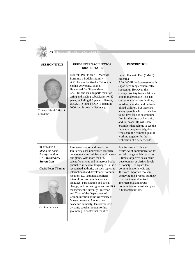

 $\begin{array}{c|c} \hline \quad \quad & \quad \quad & \quad \quad \\ \hline \quad \quad & \quad \quad & \quad \quad \\ \hline \quad \quad & \quad \quad & \quad \quad \\ \hline \end{array}$ 

 $\frac{1}{\sqrt{2}}$ 

| <b>SESSION TITLE</b>                                                                                                                      | PRESENTER/FACILITATOR<br><b>BIOG DETAILS</b>                                                                                                                                                                                                                                                                                                                                                                                                                                                                                                                                                                                                                                                                                             | <b>DESCRIPTION</b>                                                                                                                                                                                                                                                                                                                                                                                                                                                                                                                                                                                                              |
|-------------------------------------------------------------------------------------------------------------------------------------------|------------------------------------------------------------------------------------------------------------------------------------------------------------------------------------------------------------------------------------------------------------------------------------------------------------------------------------------------------------------------------------------------------------------------------------------------------------------------------------------------------------------------------------------------------------------------------------------------------------------------------------------------------------------------------------------------------------------------------------------|---------------------------------------------------------------------------------------------------------------------------------------------------------------------------------------------------------------------------------------------------------------------------------------------------------------------------------------------------------------------------------------------------------------------------------------------------------------------------------------------------------------------------------------------------------------------------------------------------------------------------------|
| Tsuneaki Paul ("Mac")<br>Machida                                                                                                          | Tsuneaki Paul ("Mac") Machida<br>Born into a Buddhist family,<br>at 21, he was baptized a Catholic at<br>Sophia University, Tokyo.<br>He worked for Nissan Motor<br>Co., Ltd. and its auto parts manufac-<br>turing and trading subsidiaries for 42<br>years, including 8.5 years in Detroit,<br>U.S.A. He joined SIGNIS Japan in<br>2006, and is now its Secretary.                                                                                                                                                                                                                                                                                                                                                                     | Japan: Tsuneaki Paul ("Mac")<br>Machida<br>After WWII the Japanese rebuilt<br>Japan becoming economically<br>successful. However, this<br>changed society from spiritual-<br>istic to materialistic. This has<br>caused many broken families,<br>murders, suicides, and undisci-<br>plined children. But there are<br>always people who try their best<br>to put love for our neighbours<br>first for the cause of humanity<br>and for peace. He will share<br>examples that help us to see the<br>Japanese people as neighbours,<br>who share the common goal of<br>working together for the<br>realization of a better world. |
| PLENARY 2<br>Media for Social<br>Transformation<br>Dr. Jan Servaes,<br><b>Steven Gan</b><br><b>Chair: Peter Thomas</b><br>Dr. Jan Servaes | Renowned author and researcher,<br>Jan Servaes has undertaken research,<br>development and advisory work across<br>our globe. With more than 350<br>scientific articles and numerous books<br>published in several languages, Jan is a<br>recognized authority on such topics as<br>international and develoment commu-<br>nication; ICT and media policies;<br>intercultural communication and<br>language; participation and social<br>change; and human rights and conflict<br>management. Currently Professor<br>and Chair of the Department of<br>Communication at the University of<br>Massachusetts at Amherst. An<br>academic authority, Jan Servaes is a<br>dynamic speaker known for his<br>grounding in contextual realities. | Jan Servaes will give an<br>overview of communication for<br>social change which has as its<br>ultimate objective sustainable<br>development at distinct levels<br>of society. He argues that<br>communication media and<br>ICTs are important tools in<br>achieving this process but their<br>use is not an end in itself.<br>Interpersonal and group<br>communication must also play<br>a fundamental role.                                                                                                                                                                                                                   |

 $\frac{1}{\sqrt{1-\frac{1}{2}}}$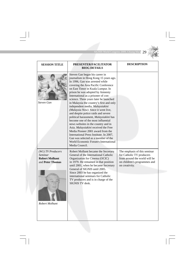$\mathrel{\sqcup}$ 

 $\frac{1}{\sqrt{2}}$ 

 $\begin{tabular}{|c|c|} \hline \quad \quad & \quad \quad & \quad \quad \\ \hline \quad \quad & \quad \quad & \quad \quad \\ \hline \quad \quad & \quad \quad \\ \hline \end{tabular}$ 

 $\begin{array}{c} \hline \hline \hline \hline \hline \hline \hline \end{array}$ 

| <b>SESSION TITLE</b>                                                                               | <b>PRESENTER/FACILITATOR</b><br><b>BIOG DETAILS</b>                                                                                                                                                                                                                                                                                                                                                                                                                                                                                                                                                                                                                                                                                                                                                     | <b>DESCRIPTION</b>                                                                                                                           |
|----------------------------------------------------------------------------------------------------|---------------------------------------------------------------------------------------------------------------------------------------------------------------------------------------------------------------------------------------------------------------------------------------------------------------------------------------------------------------------------------------------------------------------------------------------------------------------------------------------------------------------------------------------------------------------------------------------------------------------------------------------------------------------------------------------------------------------------------------------------------------------------------------------------------|----------------------------------------------------------------------------------------------------------------------------------------------|
| <b>Steven Gan</b>                                                                                  | Steven Gan began his career in<br>journalism in Hong Kong 15 years ago.<br>In 1996, Gan was arrested while<br>covering the Asia Pacific Conference<br>on East Timor in Kuala Lumpur. In<br>prison he was adopted by Amnesty<br>International as a prisoner of con-<br>science. Three years later he launched<br>in Malaysia the country's first and only<br>independent media, Malaysiakini<br>(Malaysia Now). Since it went live,<br>and despite police raids and severe<br>political harassment, Malaysiakini has<br>become one of the most influential<br>news websites in the country and in<br>Asia. Malaysiakini received the Free<br>Media Pioneer 2001 award from the<br>International Press Institute. In 2007,<br>Gan was selected as a member of the<br>World Economic Forum's International |                                                                                                                                              |
| (WI) TV Producers<br>Seminar<br><b>Robert Molhant</b><br>and Peter Thomas<br><b>Robert Molhant</b> | Media Council.<br>Robert Molhant became the Secretary<br>General of the International Catholic<br>Organization for Cinema (OCIC)<br>in 1979. He remained in that position<br>until 2001, when he became Secretary<br>General of SIGNIS until 2005.<br>Since 2003 he has organized the<br>international seminars for Catholic<br>TV producers and is in charge of the<br><b>SIGNIS TV desk.</b>                                                                                                                                                                                                                                                                                                                                                                                                          | The emphasis of this seminar<br>for Catholic TV producers<br>from around the world will be<br>on children's programmes and<br>on creativity. |
|                                                                                                    |                                                                                                                                                                                                                                                                                                                                                                                                                                                                                                                                                                                                                                                                                                                                                                                                         |                                                                                                                                              |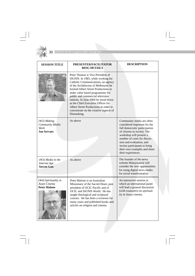

 $\frac{1}{\sqrt{2}}$ 

 $\frac{1}{\sqrt{2}}$ 

| <b>SESSION TITLE</b>                                            | PRESENTER/FACILITATOR<br><b>BIOG DETAILS</b>                                                                                                                                                                                                                                                                                                                                                                                                      | <b>DESCRIPTION</b>                                                                                                                                                                                                                                                                                     |
|-----------------------------------------------------------------|---------------------------------------------------------------------------------------------------------------------------------------------------------------------------------------------------------------------------------------------------------------------------------------------------------------------------------------------------------------------------------------------------------------------------------------------------|--------------------------------------------------------------------------------------------------------------------------------------------------------------------------------------------------------------------------------------------------------------------------------------------------------|
|                                                                 | Peter Thomas is Vice-President of<br>SIGNIS. In 1985, while working for<br>Catholic Communications, an agency<br>of the Archdiocese of Melbourne he<br>formed Albert Street Productions to<br>make value based programmes for<br>public and commercial television<br>stations. In June 2004 he stood down<br>as the Chief Executive Officer for<br>Albert Street Productions in order to<br>concentrate on the creative aspects of<br>filmmaking. |                                                                                                                                                                                                                                                                                                        |
| $(W2)$ Making<br>Community Media<br>Work<br><b>Jan Servaes</b>  | As above                                                                                                                                                                                                                                                                                                                                                                                                                                          | Community media are often<br>considered important for the<br>full democratic participation<br>of citizens in society. The<br>workshop will present a<br>number of cases for discus-<br>sion and evaluation, and<br>invites participants to bring<br>their own examples and share<br>their experiences. |
| $(W3)$ Media in the<br><b>Internet Age</b><br><b>Steven Gan</b> | As above                                                                                                                                                                                                                                                                                                                                                                                                                                          | The founder of the news<br>website Malaysiakini will<br>consider the new opportunities<br>for using digital news media<br>for social transformation.                                                                                                                                                   |
| (W4) Spirituality in<br>Asian Cinema<br><b>Peter Malone</b>     | Peter Malone is an Australian<br>Missionary of the Sacred Heart, past<br>president of OCIC Pacific and of<br>OCIC and SIGNIS World. He has<br>taught theological and scriptural<br>courses. He has been a reviewer for<br>many years and published books and<br>articles on religion and cinema.                                                                                                                                                  | An interactive session in<br>which an international panel<br>will lead a general discussion<br>(with examples) on spiritual-<br>ity in Asian cinema.                                                                                                                                                   |

 $\frac{1}{1}$ 

 $\sqrt{2}$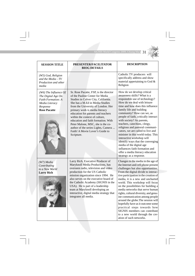$\frac{1}{1}$ 

 $\sqrt{-}$ 

| <b>SESSION TITLE</b>                                                                                                     | PRESENTER/FACILITATOR<br><b>BIOG DETAILS</b>                                                                                                                                                                                                                                                                                                                                                                                                                            | <b>DESCRIPTION</b>                                                                                                                                                                                                                                                                                                                                                                                                                                                                                                                                                                                                                         |
|--------------------------------------------------------------------------------------------------------------------------|-------------------------------------------------------------------------------------------------------------------------------------------------------------------------------------------------------------------------------------------------------------------------------------------------------------------------------------------------------------------------------------------------------------------------------------------------------------------------|--------------------------------------------------------------------------------------------------------------------------------------------------------------------------------------------------------------------------------------------------------------------------------------------------------------------------------------------------------------------------------------------------------------------------------------------------------------------------------------------------------------------------------------------------------------------------------------------------------------------------------------------|
| (W5) God, Religion<br>and the Media - TV<br>Production and other<br>media                                                |                                                                                                                                                                                                                                                                                                                                                                                                                                                                         | Catholic TV producers will<br>specifically address and show<br>material appertaining to God &<br>Religion                                                                                                                                                                                                                                                                                                                                                                                                                                                                                                                                  |
| $(W6)$ The Influence Of<br>The Digital Age On<br>Faith Formation: A<br>Media Literacy<br>Response<br><b>Rose Pacatte</b> | Sr. Rose Pacatte, FSP, is the director<br>of the Pauline Center for Media<br>Studies in Culver City, California.<br>She has a M.Ed in Media Studies<br>from the University of London. Her<br>primary work is media literacy<br>education for parents and teachers<br>within the context of culture.<br>education and faith formation. With<br>Peter Malone, MSC, she is the co-<br>author of the series Lights, Camera<br>Faith! A Movie Lover's Guide to<br>Scripture. | How do we develop critical<br>awareness skills? What is a<br>responsible use of technology?<br>How do we deal with leisure<br>time and how does this influence<br>family life and building<br>community? How can we, as<br>people of faith, critically interact<br>with society? As parents,<br>teachers, catechists, clergy,<br>religious and pastoral communi-<br>cators, we are called to live and<br>minister in this world today. This<br>interactive workshop will<br>identify ways that the converging<br>media of the digital age<br>influences faith formation and<br>offer a media literacy education<br>strategy as a response. |
| $(W7)$ Media<br>Contributing<br>to a New World<br><b>Larry Rich</b>                                                      | Larry Rich, Executive Producer of<br>Maryknoll Media Productions, has<br>overseen radio, television and video<br>production for the US Catholic<br>mission organization since 1994. He<br>also serves on the executive board of<br>the Catholic Academy (SIGNIS in the<br>USA). He is part of a leadership<br>team at Maryknoll developing an<br>interactive, digital media strategy that<br>integrates all media.                                                      | Changes in the media in the age of<br>the Internet and cell phone present<br>challenges but also opportunities.<br>From the digital divide to interac-<br>tive participation in the creation of<br>media, it is a new and uncharted<br>world. This workshop will focus<br>on the possibilities for building a<br>media networks that serve human<br>rights, cultural diversity, and genu-<br>ine communication among people<br>around the globe. The session will<br>hopefully have as it outcome some<br>practical steps towards how<br>SIGNIS members can contribute<br>to a new world through the cre-<br>ation of such networks.       |

 $\begin{array}{c} \hline \hline \end{array}$ 

 $\frac{1}{\sqrt{2}}$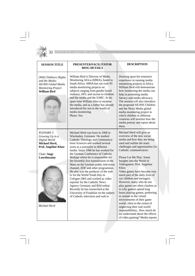

 $\begin{array}{c|c} \hline \quad \quad & \quad \quad & \quad \quad \\ \hline \quad \quad & \quad \quad & \quad \quad \\ \hline \quad \quad & \quad \quad & \quad \quad \\ \hline \end{array}$ 

 $\frac{1}{\sqrt{2}}$ 

| <b>SESSION TITLE</b>                                                                                                       | PRESENTER/FACILITATOR<br><b>BIOG DETAILS</b>                                                                                                                                                                                                                                                                                                                                                                                                                                                                                                                                                                  | <b>DESCRIPTION</b>                                                                                                                                                                                                                                                                                                                                                                                                                                                |
|----------------------------------------------------------------------------------------------------------------------------|---------------------------------------------------------------------------------------------------------------------------------------------------------------------------------------------------------------------------------------------------------------------------------------------------------------------------------------------------------------------------------------------------------------------------------------------------------------------------------------------------------------------------------------------------------------------------------------------------------------|-------------------------------------------------------------------------------------------------------------------------------------------------------------------------------------------------------------------------------------------------------------------------------------------------------------------------------------------------------------------------------------------------------------------------------------------------------------------|
| (W8) Children's Rights<br>and the Media:<br><b>SIGNIS Global Media</b><br><b>Monitoring Project</b><br><b>William Bird</b> | William Bird is Director of Media<br>Monitoring Africa (MMA), based in<br>South Africa. MMA has run over 95<br>media monitoring projects on<br>subjects ranging from gender based<br>violence, HIV, and racism to children<br>and the media and the SABC. In his<br>spare time William likes to monitor<br>the media, and as a father has already<br>introduced his son to the world of<br>media monitoring.<br>Photo: Yes.                                                                                                                                                                                   | Drawing upon his extensive<br>experience in running media<br>monitoring projects in Africa<br>William Bird will demonstrate<br>how monitoring the media can<br>help in promoting media<br>literacy and media advocacy.<br>The session will also introduce<br>the proposed SIGNIS Children<br>and the News Media global<br>media monitoring project in<br>which children in different<br>countries will monitor how the<br>media portray and report about<br>them. |
| PLENARY 3<br>Growing Up in a<br>Digital World<br>Michael Hertl,<br>Prof. Angeline Khoo<br>Chair: Augy<br>Loorthusamy       | Michael Hertl was born in 1968 in<br>Wiesbaden, Germany. He studied<br>Catholic Theology and Communica-<br>tions Sciences and worked several<br>years as a journalist in different<br>media. Since 1996 he has worked for<br>the German Conference of Catholic<br>Bishops where he is responsible for<br>the biweekly live transmission of the<br>Mass on the German public television<br>channel, ZDF and other programmes.<br>He also was the producer of the web<br>tv for the World Youth Day in<br>Cologne 2005 and worked as video<br>reporter for the Catholic News<br>Agency Germany and Bild online. | Michael Hertl will give an<br>overview of the new social<br>media and how they are being<br>used and outline the main<br>challenges and opportunities for<br>Catholic communicators.<br>Please Let Me Play: Some<br>Insights into the World of<br>Videogames: Prof. Angeline<br>Khoo<br>Video games have become very<br>much part of the daily lives of<br>our children and teenagers.<br>However, many who do not<br>play games are often clueless as            |
| Michael Hertl                                                                                                              | Recently he has researched at the<br>University of Frankfurt on the subject<br>of Catholic television and web tv.                                                                                                                                                                                                                                                                                                                                                                                                                                                                                             | to why gamers spend long<br>hours playing games, preferring<br>to remain in the virtual<br>environments of their game<br>world, often to the extent of<br>neglecting their real-world<br>responsibilities,. How much do<br>we understand about the effects<br>of video gaming? Media reports                                                                                                                                                                      |

 $\frac{1}{1}$ 

 $\frac{1}{\sqrt{1-\frac{1}{2}}}$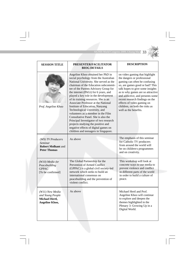$\sqrt{-}$ 

 $\begin{array}{c|c} \hline \hline \end{array}$ 

 $\frac{1}{\sqrt{2}}$ 

| <b>SESSION TITLE</b>                                                             | PRESENTER/FACILITATOR<br><b>BIOG DETAILS</b>                                                                                                                                                                                                                                                                                                                                                                                                                                                                                                                                                                                                                                          | <b>DESCRIPTION</b>                                                                                                                                                                                                                                                                                                                                                         |
|----------------------------------------------------------------------------------|---------------------------------------------------------------------------------------------------------------------------------------------------------------------------------------------------------------------------------------------------------------------------------------------------------------------------------------------------------------------------------------------------------------------------------------------------------------------------------------------------------------------------------------------------------------------------------------------------------------------------------------------------------------------------------------|----------------------------------------------------------------------------------------------------------------------------------------------------------------------------------------------------------------------------------------------------------------------------------------------------------------------------------------------------------------------------|
| Prof. Angeline Khoo                                                              | Angeline Khoo obtained her PhD in<br>social psychology from the Australian<br>National University. She served as the<br>chairman of the Education subcommit-<br>tee of the Parents Advisory Group for<br>the internet (PAGi) for 6 years, and<br>played a key role in the development<br>of its training resources. She is an<br>Associate Professor at the National<br>Institute of Education, Nanyang<br>Technological University, and<br>volunteers as a member in the Film<br>Consultative Panel. She is also the<br>Principal Investigator of two research<br>projects studying the positive and<br>negative effects of digital games on<br>children and teenagers in Singapore. | on video gaming that highlight<br>the dangers or professional<br>gaming can often be confusing<br>so, are games good or bad? This<br>talk hopes to give some insights<br>as to why games are so attractive<br>and addictive, and presents some<br>recent research findings on the<br>effects of video gaming on<br>children, on both the risks as<br>well as the benefits. |
| (W9) TV Producers<br>Seminar<br><b>Robert Molhant and</b><br><b>Peter Thomas</b> | As above                                                                                                                                                                                                                                                                                                                                                                                                                                                                                                                                                                                                                                                                              | The emphasis of this seminar<br>for Catholic TV producers<br>from around the world will<br>be on children's programmes<br>and on creativity.                                                                                                                                                                                                                               |
| (W10) Media for<br>Peacebuilding<br><b>GPPAC</b><br>[To be confirmed]            | The Global Partnership for the<br>Prevention of Armed Conflict<br>(GPPAC) is a global civil society-led<br>network which seeks to build an<br>international consensus on<br>peacebuilding and the prevention of<br>violent conflict.                                                                                                                                                                                                                                                                                                                                                                                                                                                  | This workshop will look at<br>concrete ways to use media to<br>prevent violence and conflict<br>in different parts of the world<br>in order to build a culture of<br>peace.                                                                                                                                                                                                |
| (WII) New Media<br>and Young People<br>Michael Hertl,<br>Angeline Khoo,          | As above                                                                                                                                                                                                                                                                                                                                                                                                                                                                                                                                                                                                                                                                              | Michael Hertl and Prof.<br>Angeline Khoo will continue<br>to explore and deepen the<br>themes highlighted in the<br>Plenary 3: Growing Up in a<br>Digital World.                                                                                                                                                                                                           |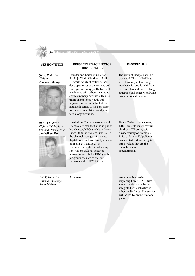

 $\mathbf{r}$ 

 $\frac{1}{\sqrt{2}}$ 

| <b>SESSION TITLE</b>                                                                        | PRESENTER/FACILITATOR<br><b>BIOG DETAILS</b>                                                                                                                                                                                                                                                                                                                                                                                      | <b>DESCRIPTION</b>                                                                                                                                                                                                                                            |
|---------------------------------------------------------------------------------------------|-----------------------------------------------------------------------------------------------------------------------------------------------------------------------------------------------------------------------------------------------------------------------------------------------------------------------------------------------------------------------------------------------------------------------------------|---------------------------------------------------------------------------------------------------------------------------------------------------------------------------------------------------------------------------------------------------------------|
| (W12) Radio for<br>Children<br><b>Thomas Röhlinger</b>                                      | Founder and Editor in Chief of<br>Radijojo World Children's Radio<br>Network. As chief editor, he has<br>developed most of the formats and<br>strategies of Radijojo. He has held<br>workshops with schools and youth<br>centres in many countries. He also<br>trains unemployed youth and<br>migrants in Berlin in the field of<br>media education. He is consultant<br>for international NGOs and youth<br>media organizations. | The work of Radijojo will be<br>presented. Thomas Röhlinger<br>will show ways of working<br>together with and for children<br>on issues like cultural exchange,<br>education and peace worldwide<br>using radio and internet.                                 |
| $(W13)$ Children's<br>Rights - TV Produc-<br>tion and Other Media<br><b>Jan Willem Bult</b> | Head of the Youth department and<br>Creative director for Catholic public<br>broadcaster, KRO, the Netherlands.<br>Since 2008 Jan-Willem Bult is also<br>the channel manager of the new<br>digital preschool and family channel<br>Zappelin 24/Familie 24 of<br>Netherlands Public Broadcasting.<br>Jan-Willem Bult has received<br>numerous awards for KRO youth<br>programmes, such as the Prix<br>Jeunesse and UNICEF Prize.   | Dutch Catholic broadcaster,<br>KRO, presents its successful<br>children's TV policy with<br>a wide variety of examples.<br>In its children's TV policy it<br>has adapted children's rights<br>into 5 values that are the<br>main 'filters' of<br>programming. |
| (W14) The Asian<br>Cinema Challenge<br><b>Peter Malone</b>                                  | As above                                                                                                                                                                                                                                                                                                                                                                                                                          | An interactive session<br>exploring how SIGNIS film<br>work in Asia can be better<br>integrated with activities in<br>other media fields. The session<br>will be led by an international<br>panel.                                                            |
|                                                                                             |                                                                                                                                                                                                                                                                                                                                                                                                                                   |                                                                                                                                                                                                                                                               |

 $\frac{1}{1}$ 

 $\frac{1}{\sqrt{1-\frac{1}{2}}}$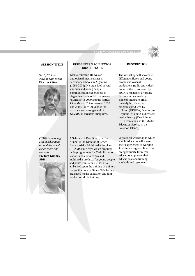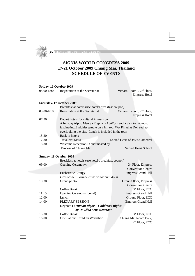

 $\equiv$ 

 $36$  > SIGNIS World Congress 2009, Chiang

### **SIGNIS WORLD CONGRESS 2009 17-21 October 2009 Chiang Mai, Thailand SCHEDULE OF EVENTS**

#### **Friday, 16 October 2009**

08:00-18:00 Registration at the Secretariat Vimarn Room I, 2<sup>nd</sup> Floor,

Empress Hotel

 $\vert\,\vert_-$ 

#### **Saturday, 17 October 2009**

|                         | Breakfast at hotels (use hotel's breakfast coupon)                  |                                       |
|-------------------------|---------------------------------------------------------------------|---------------------------------------|
| 08:00-18:00             | Registration at the Secretariat                                     | Vimarn I Room, 2 <sup>nd</sup> Floor, |
|                         |                                                                     | <b>Empress Hotel</b>                  |
| 07:30                   | Depart hotels for cultural immersion                                |                                       |
|                         | A full-day trip to Mae Sa Elephant-At-Work and a visit to the most  |                                       |
|                         | fascinating Buddhist temple on a hill top, Wat Phrathat Doi Suthep, |                                       |
|                         | overlooking the city. Lunch is included in the tour.                |                                       |
| 15:30                   | Back to hotels                                                      |                                       |
| 17:30                   | <b>Travelers' Mass</b>                                              | Sacred Heart of Jesus Cathedral       |
| 18:30                   | Welcome Reception/Dinner hosted by                                  |                                       |
|                         | Diocese of Chiang Mai                                               | <b>Sacred Heart School</b>            |
|                         |                                                                     |                                       |
| Sunday, 18 October 2009 |                                                                     |                                       |
|                         | Breakfast at hotels (use hotel's breakfast coupon)                  |                                       |
| 09:00                   | <b>Opening Ceremony:</b>                                            | 3 <sup>rd</sup> Floor, Empress        |
|                         |                                                                     | <b>Convention Centre</b>              |
|                         | Eucharistic Liturgy                                                 | <b>Empress Grand Hall</b>             |
|                         | Dress code: Formal attire or national dress                         |                                       |
| 10:30                   | Group photo                                                         | Ground floor, Empress                 |
|                         |                                                                     | <b>Convention Centre</b>              |
|                         | Coffee Break                                                        | 3rd Floor, ECC                        |
| 11:15                   | Opening Ceremony (contd)                                            | <b>Empress Grand Hall</b>             |
| 12:00                   | Lunch                                                               | Ground Floor, ECC                     |
| 14:00                   | PLENARY SESSION                                                     | <b>Empress Grand Hall</b>             |
|                         | Keynote I: Human Rights - Children's Rights                         |                                       |
|                         | by Dr Zilda Arns Neumann                                            |                                       |
| 15:30                   | Coffee Break                                                        | $3rd$ Floor, ECC                      |
| 16:00                   | Orientation: Children Workshop                                      | Chiang Mai Room IV-V,                 |
|                         |                                                                     | 2 <sup>nd</sup> Floor, ECC            |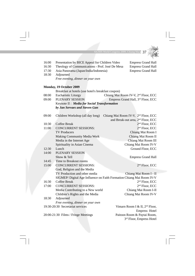$\begin{array}{c|c} \hline \hline \end{array}$ 

 $\frac{1}{\sqrt{2}}$ 

 $\frac{\mid \bigsqcup}{\mid}$ 

 $\frac{1}{\sqrt{1-\frac{1}{2}}}$ 

| 16:00 | Presentation by BICE Appeal for Children Video                        |                                                  | <b>Empress Grand Hall</b>                        |  |
|-------|-----------------------------------------------------------------------|--------------------------------------------------|--------------------------------------------------|--|
| 16:30 | Theology of Communications - Prof. José De Mesa                       |                                                  | <b>Empress Grand Hall</b>                        |  |
| 17:30 | Asia Panorama (Japan/India/Indonesia)                                 |                                                  | <b>Empress Grand Hall</b>                        |  |
| 18:30 | Adjourned                                                             |                                                  |                                                  |  |
|       | Free evening, dinner on your own                                      |                                                  |                                                  |  |
|       |                                                                       |                                                  |                                                  |  |
|       | <b>Monday, 19 October 2009</b>                                        |                                                  |                                                  |  |
|       | Breakfast at hotels (use hotel's breakfast coupon)                    | Chiang Mai Room IV-V, 2 <sup>nd</sup> Floor, ECC |                                                  |  |
| 08:00 | <b>Eucharistic Liturgy</b>                                            |                                                  |                                                  |  |
| 09:00 | PLENARY SESSION                                                       |                                                  | Empress Grand Hall, 3rd Floor, ECC               |  |
|       | Keynote II : Media for Social Transformation                          |                                                  |                                                  |  |
|       | by Jan Servaes and Steven Gan                                         |                                                  |                                                  |  |
| 09:00 | Children Workshop (all day long)                                      |                                                  | Chiang Mai Room IV-V, 2 <sup>nd</sup> Floor, ECC |  |
|       |                                                                       |                                                  | and Break-out area, 2 <sup>nd</sup> Floor, ECC   |  |
| 10:30 | Coffee Break                                                          |                                                  | 2 <sup>nd</sup> Floor, ECC                       |  |
| 11:00 | <b>CONCURRENT SESSIONS:</b>                                           |                                                  | 2 <sup>nd</sup> Floor, ECC                       |  |
|       | <b>TV Producers</b>                                                   |                                                  | Chiang Mai Room I                                |  |
|       | Making Community Media Work                                           |                                                  | Chiang Mai Room II                               |  |
|       | Media in the Internet Age                                             |                                                  | Chiang Mai Room III                              |  |
|       | Spirituality in Asian Cinema                                          |                                                  | Chiang Mai Room IV-V                             |  |
| 12:30 | Lunch                                                                 |                                                  | Ground Floor, ECC                                |  |
| 14:00 | PLENARY SESSION                                                       |                                                  |                                                  |  |
|       | Show & Tell                                                           |                                                  | <b>Empress Grand Hall</b>                        |  |
| 14:45 | Time to Breakout rooms                                                |                                                  |                                                  |  |
| 15:00 | <b>CONCURRENT SESSIONS:</b>                                           |                                                  | 2 <sup>nd</sup> Floor, ECC                       |  |
|       | God, Religion and the Media                                           |                                                  |                                                  |  |
|       | TV Production and other media                                         |                                                  | Chiang Mai Room I - II                           |  |
|       | SIGMEP/ Digital Age Influence on Faith Formation Chiang Mai Room IV-V |                                                  |                                                  |  |
| 16:30 | <b>Coffee Break</b>                                                   |                                                  | 2 <sup>nd</sup> Floor, ECC                       |  |
| 17:00 | <b>CONCURRENT SESSIONS:</b>                                           |                                                  | 2 <sup>nd</sup> Floor, ECC                       |  |
|       | Media Contributing to a New world                                     |                                                  | Chiang Mai Room I-II                             |  |
|       | Children's Rights and the Media                                       |                                                  | Chiang Mai Room IV-V                             |  |
| 18:30 | Adjourned                                                             |                                                  |                                                  |  |
|       | Free evening, dinner on your own                                      |                                                  |                                                  |  |
|       | 19:30-20:30 Secretariat services                                      |                                                  | Vimarn Room I & II, 2 <sup>nd</sup> Floor,       |  |
|       |                                                                       |                                                  | Empress Hotel                                    |  |
|       | 20:00-21:30 Films / Fringe Meetings                                   |                                                  | Paitoon Room & Paytai Room,                      |  |
|       |                                                                       |                                                  | 3rd Floor, Empress Hotel                         |  |
|       |                                                                       |                                                  |                                                  |  |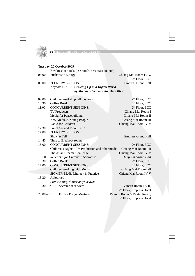

 $\begin{array}{c|c} \hline \hline \end{array}$ 

 $\frac{1}{\sqrt{2}}$ 

 $\frac{1}{1}$ 

 $\begin{array}{c} \hline \hline \hline \hline \hline \hline \end{array}$ 

#### **Tuesday, 20 October 2009**

|             | Breakfast at hotels (use hotel's breakfast coupon) |                                      |
|-------------|----------------------------------------------------|--------------------------------------|
| 08:00       | Eucharistic Liturgy                                | Chiang Mai Room IV-V,                |
|             |                                                    | 2 <sup>nd</sup> Floor, ECC           |
| 09:00       | PLENARY SESSION                                    | <b>Empress Grand Hall</b>            |
|             | Growing Up in a Digital World<br>Keynote III :     |                                      |
|             | by Michael Hertl and Angeline Khoo                 |                                      |
| 09:00       | Children Workshop (all day long)                   | $2nd$ Floor, ECC                     |
| 10:30       | Coffee Break                                       | 2 <sup>nd</sup> Floor, ECC           |
| 11:00       | <b>CONCURRENT SESSIONS:</b>                        | 2 <sup>nd</sup> Floor, ECC           |
|             | <b>TV Producers</b>                                | Chiang Mai Room I                    |
|             | Media for Peacebuilding                            | Chiang Mai Room II                   |
|             | New Media & Young People                           | Chiang Mai Room III                  |
|             | Radio for Children                                 | Chiang Mai Room IV-V                 |
| 12:30       | Lunch Ground Floor, ECC                            |                                      |
| 14:00       | PLENARY SESSION                                    |                                      |
|             | Show & Tell                                        | <b>Empress Grand Hall</b>            |
| 14:45       | Time to Breakout rooms                             |                                      |
| 15:00       | <b>CONCURRENT SESSIONS:</b>                        | 2 <sup>nd</sup> Floor, ECC           |
|             | Children's Rights - TV Production and other media  | Chiang Mai Room I-II                 |
|             | The Asian Cinema Challenge                         | Chiang Mai Room IV-V                 |
| 15:00       | Rehearsal for Children's Showcase                  | <b>Empress Grand Hall</b>            |
| 16:30       | <b>Coffee Break</b>                                | 2 <sup>nd</sup> Floor, ECC           |
| 17:00       | <b>CONCURRENT SESSIONS:</b>                        | 2 <sup>nd</sup> Floor, ECC           |
|             | Children Working with Media                        | Chiang Mai Room I-II                 |
|             | SIGMEP/ Media Literacy in Practice                 | Chiang Mai Room IV-V                 |
| 18:30       | Adjourned                                          |                                      |
|             | Free evening, dinner on your own                   |                                      |
| 19:30-21:00 | Secretariat services                               | Vimarn Room I & II,                  |
|             |                                                    | 2 <sup>nd</sup> Floor, Empress Hotel |
| 20:00-21:30 | Films / Fringe Meetings                            | Paitoon Room & Paytai Room,          |
|             |                                                    | 3 <sup>rd</sup> Floor, Empress Hotel |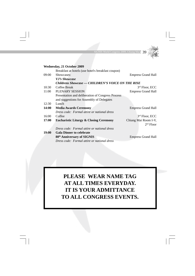$Mai$  39

 $\begin{array}{c} \hline \end{array}$ 

#### **Wednesday, 21 October 2009**

 $\begin{array}{c|c|c|c} \hline \quad \quad & \quad \quad & \quad \quad & \quad \quad \\ \hline \end{array}$ 

|       | Breakfast at hotels (use hotel's breakfast coupon) |                           |
|-------|----------------------------------------------------|---------------------------|
| 09:00 | Showcases:                                         | <b>Empress Grand Hall</b> |
|       | <b>V.I's Showcase</b>                              |                           |
|       | Childrens Showcase - CHILDREN'S VOICE ON THE RISE  |                           |
| 10:30 | Coffee Break                                       | $3rd$ Floor, ECC          |
| 11:00 | PLENARY SESSION                                    | <b>Empress Grand Hall</b> |
|       | Presentation and deliberation of Congress Process  |                           |
|       | and suggestions for Assembly of Delegates          |                           |
| 12:30 | Lunch                                              |                           |
| 14:00 | <b>Media Awards Ceremony</b>                       | <b>Empress Grand Hall</b> |
|       | Dress code: Formal attire or national dress        |                           |
| 16:00 | Coffee                                             | $3rd$ Floor, ECC          |
| 17:00 | <b>Eucharistic Liturgy &amp; Closing Ceremony</b>  | Chiang Mai Room I-V,      |
|       |                                                    | $2nd$ Floor               |
|       | Dress code: Formal attire or national dress        |                           |
| 19:00 | <b>Gala Dinner to celebrate</b>                    |                           |
|       | 80 <sup>th</sup> Anniversary of SIGNIS             | <b>Empress Grand Hall</b> |
|       | Dress code: Formal attire or national dress        |                           |

## **PLEASE WEAR NAME TAG AT ALL TIMES EVERYDAY. IT IS YOUR ADMITTANCE TO ALL CONGRESS EVENTS.**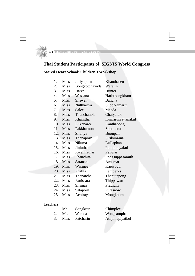

 $\begin{array}{c|c} \hline \quad \quad & \quad \quad & \quad \quad \\ \hline \quad \quad & \quad \quad & \quad \quad \\ \hline \end{array}$ 

## **Thai Student Participants of SIGNIS World Congress**

## **Sacred Heart School: Children's Workshop**

| 1.               | <b>Miss</b> | Jariyaporn     | Khanthasen        |
|------------------|-------------|----------------|-------------------|
| 2.               | <b>Miss</b> | Bongkotchayada | Waralin           |
| 3.               | <b>Miss</b> | <b>Isaree</b>  | Hunter            |
| $\overline{4}$ . | <b>Miss</b> | Wassana        | Harbthongkham     |
| 5.               | <b>Miss</b> | Siriwan        | Bancha            |
| 6.               | <b>Miss</b> | Nutthariya     | Suppa-amarit      |
| 7.               | <b>Miss</b> | Salee          | Maeda             |
| 8.               | <b>Miss</b> | Thanchanok     | Chaiyarak         |
| 9.               | <b>Miss</b> | Khanitha       | Kumarunrattanakul |
| 10.              | <b>Miss</b> | Luxanaree      | Kanthapong        |
| 11.              | <b>Miss</b> | Pakkhamon      | Simkeerati        |
|                  | 12. Miss    | Siranya        | Boonpan           |
|                  | 13. Miss    | Thanaporn      | Siriboorana       |
|                  | 14. Miss    | Niluma         | Dullaphan         |
|                  | 15. Miss    | Jinjutha       | Pienpittayakul    |
|                  | 16. Miss    | Kwanhathai     | Pengjai           |
|                  | 17. Miss    | Phanchita      | Pongsuppasamith   |
|                  | 18. Miss    | Satanant       | Amumat            |
| 19.              | <b>Miss</b> | Wasinee        | Kaewbutr          |
| 20.              | <b>Miss</b> | Phalita        | Lamberks          |
| 21.              | <b>Miss</b> | Thanatcha      | Thanutapong       |
|                  | 22. Miss    | Panissara      | Thippawan         |
|                  | 23. Miss    | <b>Sirimas</b> | Prathum           |
|                  | 24. Miss    | Sataporn       | Purasaow          |
| 25.              | <b>Miss</b> | Achiraya       | Mongkhum          |
|                  |             |                |                   |

### **Teachers**

 $\overline{\phantom{a}}$ 

| Mr. | Songkran       | Chimplee        |
|-----|----------------|-----------------|
| Ms. | Wanida         | Wongsamphan     |
|     | Miss Patcharin | Athjimapipatkul |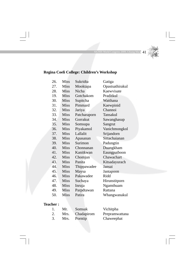凑 SIGNIS World Congress 2009, Chiang Mai  $\epsilon$  41

 $\begin{tabular}{|c|c|c|c|c|} \hline & & & & \\ \hline & & & & \\ \hline & & & & \\ \hline \end{tabular}$ 

 $\sqrt{2}$ 

## **Regina Coeli College: Children's Workshop**

| 26. | <b>Miss</b> | Sukridta     | Gatiga          |
|-----|-------------|--------------|-----------------|
| 27. | <b>Miss</b> | Mooktapa     | Opastsathirakul |
| 28. | <b>Miss</b> | Nicha        | Kaewvisate      |
| 19. | <b>Miss</b> | Gotchakom    | Praditkul       |
| 30. | <b>Miss</b> | Supitcha     | Watthana        |
| 31. | <b>Miss</b> | Pimmard      | Kaewpinid       |
| 32. | <b>Miss</b> | Jariya       | Channoi         |
| 33. | <b>Miss</b> | Patcharaporn | Tansakul        |
| 34. | <b>Miss</b> | Gorrakut     | Sawanghasup     |
| 35. | <b>Miss</b> | Somsupa      | Sangrut         |
| 36. | <b>Miss</b> | Piyakamol    | Vanichmongkol   |
| 37. | <b>Miss</b> | Lallalit     | Srijandorn      |
| 38. | <b>Miss</b> | Apasanan     | Sittachaianan   |
| 39. | <b>Miss</b> | Surimon      | Padungtin       |
| 40. | <b>Miss</b> | Chonnanan    | Duangkham       |
| 41. | <b>Miss</b> | Kanitkwan    | Eaungpaiboon    |
| 42. | <b>Miss</b> | Chomjun      | Chawachart      |
| 43. | <b>Miss</b> | Panita       | Kitsadayurach   |
| 44. | <b>Miss</b> | Thippawadee  | Jansai          |
| 45. | <b>Miss</b> | Maysa        | Jantapoon       |
| 46. | <b>Miss</b> | Pakawadee    | Ridd            |
| 47. | <b>Miss</b> | Suchaya      | Hirunstitporn   |
| 48. | <b>Miss</b> | Inruja       | Ngamthuam       |
| 49. | <b>Miss</b> | Parpdtawan   | Rattana         |
| 50. | <b>Miss</b> | Patira       | Whangwanakul    |

## **Teacher :**

 $\overline{\phantom{0}}$ 

 $\frac{1}{\sqrt{2}}$ 

|    | Mr.  | Somsak     | Vichitpha      |
|----|------|------------|----------------|
| 2. | Mrs. | Chadapirom | Prepramwattana |
| 3. | Mrs. | Porntip    | Chaweephat     |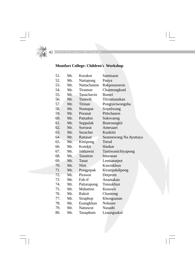

 $\begin{array}{c|c} \hline \hline \end{array}$ 

 $\frac{1}{\sqrt{2}}$ 

## **Montfort College: Childrenûs Workshop**

 $\frac{1}{1}$ 

 $\sqrt{\frac{1}{n}}$ 

| 51. | Mr. | Korakot         | Santisarat             |
|-----|-----|-----------------|------------------------|
| 52. | Mr. | Nattapong       | Panya                  |
| 53. | Mr. | Nattachanon     | Rakpousuwon            |
| 54. | Mr. | Tiramon         | Chaimongkonl           |
| 55. | Mr. | Tanachavin      | Bunsri                 |
| 56. | Mr. | Tanavih         | Titivattanakan         |
| 57. | Mr. | Titinan         | Pongraviwongsha        |
| 58. | Mr. | Nontapat        | Sripolwang             |
| 59. | Mr. | Poranat         | Pithchanon             |
| 60. | Mr. | Pattadon        | Suksvaeng              |
| 61. | Mr. | Suppalak        | Bunroungkit            |
| 62. | Mr. | Sorrarat        | Amesaart               |
| 63. | Mr. | Surachet        | Kunkitti               |
| 64. | Mr. | Rattasat        | Seaneewong Na Ayuttaya |
| 65. | Mr. | Kittipong       | Torod                  |
| 66. | Mr. | Komkit          | Hankar                 |
| 67. | Mr. | Jakkawut        | Tantiwanichiyapong     |
| 68. | Mr. | <b>Tanatton</b> | Intarasan              |
| 69. | Mr. | Tanat           | Leuttanatpot           |
| 70. | Mr. | <b>Nitit</b>    | Kawinkhun              |
| 71. | Mr. | Pongpipak       | Kiratipakdipong        |
| 72. | Mr. | Pirawat         | Detprom                |
| 73  | Mr. | Fah-if          | Anantakan              |
| 74. | Mr. | Pattarapong     | Tonsukhun              |
| 75. | Mr. | Mahatton        | Keauwit                |
| 76. | Mr. | Raksit          | Chantong               |
| 77. | Mr. | Siraphop        | Khongsanan             |
| 78. | Mr. | Euangkhun       | Nokeaw                 |
| 79. | Mr. | Nattawut        | Nasudti                |
| 80. | Mr. | Tanaphum        | Leaungsakul            |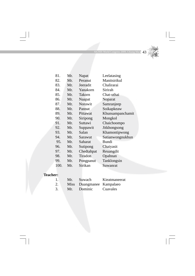$\sqrt{-}$ 

| 81.  | Mr. | Napat      | Leelatasing      |
|------|-----|------------|------------------|
| 82.  | Mr. | Peranut    | Manitsirikul     |
| 83.  | Mr. | Jeeradit   | Chalirarai       |
| 84.  | Mr. | Yanakorn   | Sirirah          |
| 85.  | Mr. | Takorn     | Chat-uthai       |
| 86.  | Mr. | Naapat     | Noparat          |
| 87.  | Mr. | Norawit    | Samranjeep       |
| 88.  | Mr. | Pannat     | Soikapkeaw       |
| 89.  | Mr. | Pittawat   | Khunsampanchamit |
| 90.  | Mr. | Siripong   | Mongkol          |
| 91.  | Mr. | Suttawi    | Chaichoompo      |
| 92.  | Mr. | Suppawit   | Jitkhongsong     |
| 93.  | Mr. | Salan      | Khamontipwong    |
| 94.  | Mr. | Sarawut    | Satianwongnukhun |
| 95.  | Mr. | Saharat    | <b>Bundi</b>     |
| 96.  | Mr. | Sutipong   | Chaiyasit        |
| 97.  | Mr. | Chedtahpat | Reuangdit        |
| 98.  | Mr. | Tiradon    | Opahnan          |
| 99.  | Mr. | Pongpanut  | Tanklongsin      |
| 100. | Mr. | Sirikan    | Suwanrat         |
|      |     |            |                  |

# **Teacher:**

 $\overline{\mathbb{F}}_{\parallel}$ 

 $\frac{\underline{\hphantom{a}}}{\underline{\hphantom{a}}}}$ 

| 1. | Mr. Suwach                | Kieatmaneerat |
|----|---------------------------|---------------|
| 2. | Miss Duangmanee Kampalaeo |               |
| 3. | Mr. Dominic Cuavales      |               |